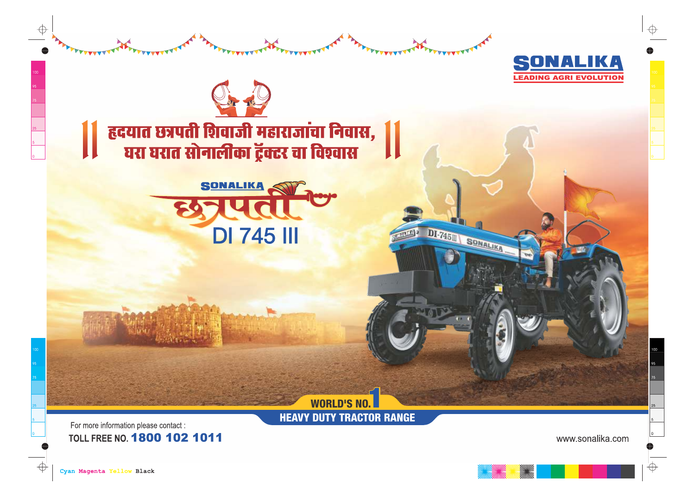